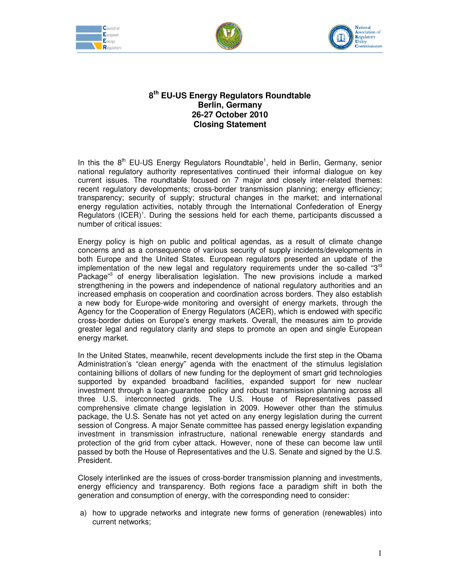





## **8 th EU-US Energy Regulators Roundtable Berlin, Germany 26-27 October 2010 Closing Statement**

In this the  $8<sup>th</sup>$  EU-US Energy Regulators Roundtable<sup>1</sup>, held in Berlin, Germany, senior national regulatory authority representatives continued their informal dialogue on key current issues. The roundtable focused on 7 major and closely inter-related themes: recent regulatory developments; cross-border transmission planning; energy efficiency; transparency; security of supply; structural changes in the market; and international energy regulation activities, notably through the International Confederation of Energy Regulators (ICER)<sup>1</sup>. During the sessions held for each theme, participants discussed a number of critical issues:

Energy policy is high on public and political agendas, as a result of climate change concerns and as a consequence of various security of supply incidents/developments in both Europe and the United States. European regulators presented an update of the implementation of the new legal and regulatory requirements under the so-called " $3<sup>rd</sup>$ Package<sup>"3</sup> of energy liberalisation legislation. The new provisions include a marked strengthening in the powers and independence of national regulatory authorities and an increased emphasis on cooperation and coordination across borders. They also establish a new body for Europe-wide monitoring and oversight of energy markets, through the Agency for the Cooperation of Energy Regulators (ACER), which is endowed with specific cross-border duties on Europe's energy markets. Overall, the measures aim to provide greater legal and regulatory clarity and steps to promote an open and single European energy market.

In the United States, meanwhile, recent developments include the first step in the Obama Administration's "clean energy" agenda with the enactment of the stimulus legislation containing billions of dollars of new funding for the deployment of smart grid technologies supported by expanded broadband facilities, expanded support for new nuclear investment through a loan-guarantee policy and robust transmission planning across all three U.S. interconnected grids. The U.S. House of Representatives passed comprehensive climate change legislation in 2009. However other than the stimulus package, the U.S. Senate has not yet acted on any energy legislation during the current session of Congress. A major Senate committee has passed energy legislation expanding investment in transmission infrastructure, national renewable energy standards and protection of the grid from cyber attack. However, none of these can become law until passed by both the House of Representatives and the U.S. Senate and signed by the U.S. President.

Closely interlinked are the issues of cross-border transmission planning and investments, energy efficiency and transparency. Both regions face a paradigm shift in both the generation and consumption of energy, with the corresponding need to consider:

a) how to upgrade networks and integrate new forms of generation (renewables) into current networks;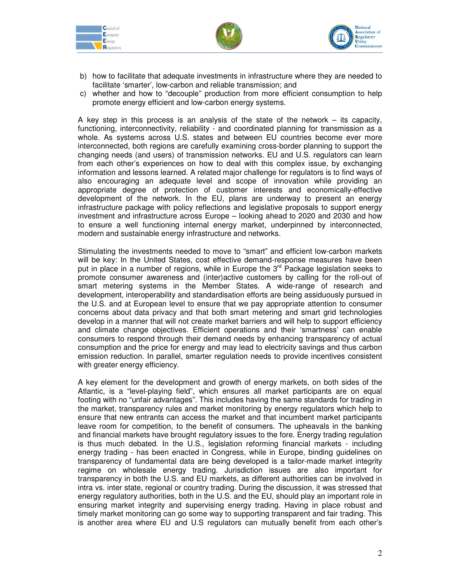





- b) how to facilitate that adequate investments in infrastructure where they are needed to facilitate 'smarter', low-carbon and reliable transmission; and
- c) whether and how to "decouple" production from more efficient consumption to help promote energy efficient and low-carbon energy systems.

A key step in this process is an analysis of the state of the network – its capacity, functioning, interconnectivity, reliability - and coordinated planning for transmission as a whole. As systems across U.S. states and between EU countries become ever more interconnected, both regions are carefully examining cross-border planning to support the changing needs (and users) of transmission networks. EU and U.S. regulators can learn from each other's experiences on how to deal with this complex issue, by exchanging information and lessons learned. A related major challenge for regulators is to find ways of also encouraging an adequate level and scope of innovation while providing an appropriate degree of protection of customer interests and economically-effective development of the network. In the EU, plans are underway to present an energy infrastructure package with policy reflections and legislative proposals to support energy investment and infrastructure across Europe – looking ahead to 2020 and 2030 and how to ensure a well functioning internal energy market, underpinned by interconnected, modern and sustainable energy infrastructure and networks.

Stimulating the investments needed to move to "smart" and efficient low-carbon markets will be key: In the United States, cost effective demand-response measures have been put in place in a number of regions, while in Europe the  $3<sup>rd</sup>$  Package legislation seeks to promote consumer awareness and (inter)active customers by calling for the roll-out of smart metering systems in the Member States. A wide-range of research and development, interoperability and standardisation efforts are being assiduously pursued in the U.S. and at European level to ensure that we pay appropriate attention to consumer concerns about data privacy and that both smart metering and smart grid technologies develop in a manner that will not create market barriers and will help to support efficiency and climate change objectives. Efficient operations and their 'smartness' can enable consumers to respond through their demand needs by enhancing transparency of actual consumption and the price for energy and may lead to electricity savings and thus carbon emission reduction. In parallel, smarter regulation needs to provide incentives consistent with greater energy efficiency.

A key element for the development and growth of energy markets, on both sides of the Atlantic, is a "level-playing field", which ensures all market participants are on equal footing with no "unfair advantages". This includes having the same standards for trading in the market, transparency rules and market monitoring by energy regulators which help to ensure that new entrants can access the market and that incumbent market participants leave room for competition, to the benefit of consumers. The upheavals in the banking and financial markets have brought regulatory issues to the fore. Energy trading regulation is thus much debated. In the U.S., legislation reforming financial markets - including energy trading - has been enacted in Congress, while in Europe, binding guidelines on transparency of fundamental data are being developed is a tailor-made market integrity regime on wholesale energy trading. Jurisdiction issues are also important for transparency in both the U.S. and EU markets, as different authorities can be involved in intra vs. inter state, regional or country trading. During the discussion, it was stressed that energy regulatory authorities, both in the U.S. and the EU, should play an important role in ensuring market integrity and supervising energy trading. Having in place robust and timely market monitoring can go some way to supporting transparent and fair trading. This is another area where EU and U.S regulators can mutually benefit from each other's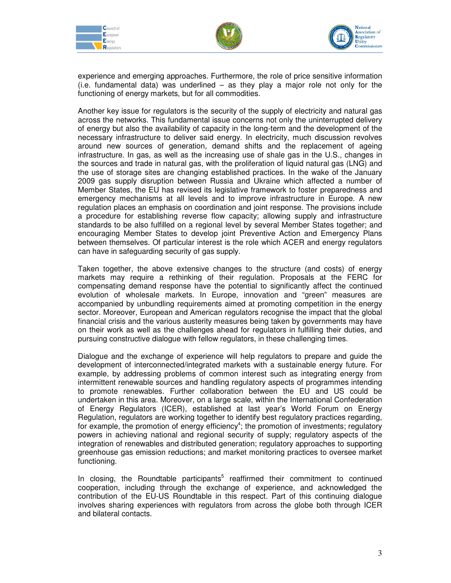





experience and emerging approaches. Furthermore, the role of price sensitive information (i.e. fundamental data) was underlined – as they play a major role not only for the functioning of energy markets, but for all commodities.

Another key issue for regulators is the security of the supply of electricity and natural gas across the networks. This fundamental issue concerns not only the uninterrupted delivery of energy but also the availability of capacity in the long-term and the development of the necessary infrastructure to deliver said energy. In electricity, much discussion revolves around new sources of generation, demand shifts and the replacement of ageing infrastructure. In gas, as well as the increasing use of shale gas in the U.S., changes in the sources and trade in natural gas, with the proliferation of liquid natural gas (LNG) and the use of storage sites are changing established practices. In the wake of the January 2009 gas supply disruption between Russia and Ukraine which affected a number of Member States, the EU has revised its legislative framework to foster preparedness and emergency mechanisms at all levels and to improve infrastructure in Europe. A new regulation places an emphasis on coordination and joint response. The provisions include a procedure for establishing reverse flow capacity; allowing supply and infrastructure standards to be also fulfilled on a regional level by several Member States together; and encouraging Member States to develop joint Preventive Action and Emergency Plans between themselves. Of particular interest is the role which ACER and energy regulators can have in safeguarding security of gas supply.

Taken together, the above extensive changes to the structure (and costs) of energy markets may require a rethinking of their regulation. Proposals at the FERC for compensating demand response have the potential to significantly affect the continued evolution of wholesale markets. In Europe, innovation and "green" measures are accompanied by unbundling requirements aimed at promoting competition in the energy sector. Moreover, European and American regulators recognise the impact that the global financial crisis and the various austerity measures being taken by governments may have on their work as well as the challenges ahead for regulators in fulfilling their duties, and pursuing constructive dialogue with fellow regulators, in these challenging times.

Dialogue and the exchange of experience will help regulators to prepare and guide the development of interconnected/integrated markets with a sustainable energy future. For example, by addressing problems of common interest such as integrating energy from intermittent renewable sources and handling regulatory aspects of programmes intending to promote renewables. Further collaboration between the EU and US could be undertaken in this area. Moreover, on a large scale, within the International Confederation of Energy Regulators (ICER), established at last year's World Forum on Energy Regulation, regulators are working together to identify best regulatory practices regarding, for example, the promotion of energy efficiency<sup>4</sup>; the promotion of investments; regulatory powers in achieving national and regional security of supply; regulatory aspects of the integration of renewables and distributed generation; regulatory approaches to supporting greenhouse gas emission reductions; and market monitoring practices to oversee market functioning.

In closing, the Roundtable participants<sup>5</sup> reaffirmed their commitment to continued cooperation, including through the exchange of experience, and acknowledged the contribution of the EU-US Roundtable in this respect. Part of this continuing dialogue involves sharing experiences with regulators from across the globe both through ICER and bilateral contacts.